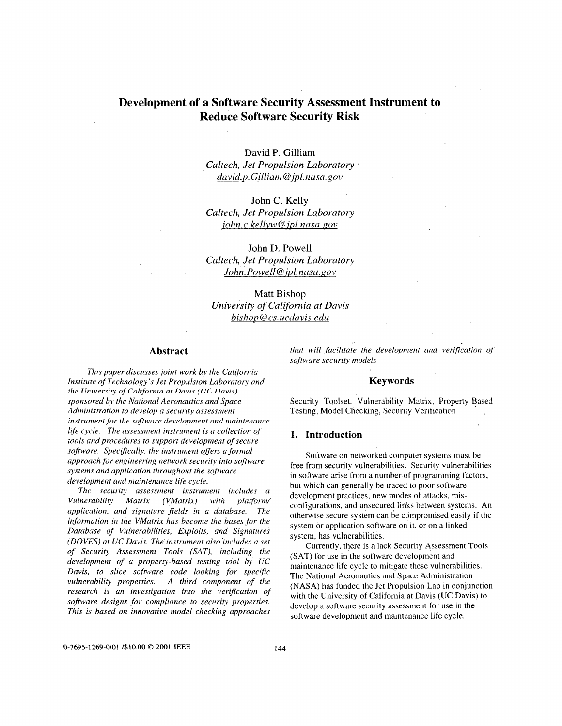# **Development of a Software Security Assessment Instrument to Reduce Software Security Risk**

David P. Gilliam *Caltech, Jet Propulsion Laboratory ikivid. y. Gilliain* @ *ipl.iiusu..qov* 

John *C.* Kelly *Caltech, Jet Propulsion Laboratory john.c.kellyw@jpl.nasa.gov* 

John D. Powell *Caltech, Jet Propulsion Laboratory*  $John.Powell@ipl.nasa.gov$ 

Matt Bishop *University of California at Davis bishop [@cs.iduvis.edu](mailto:cs.iduvis.edu)* 

### **Abstract**

*This paper discusses joint work by the California Institute of Technology's Jet Propulsion Laboratov and the University of Califorriia at Davis (UC Davis) sponsored by the National Aeronautics and Space Administration to develop a security assessment*  instrument for the software development and maintenance *life cysle. The assessment instrument is a collection of tools and procedures to support development of secure sofhvare. Specifically, the instrument offers a formal approuch for engineering network security into software systems and application throughout the sofhvare development and maintenance life cycle.* 

*The. security assessment instrument includes a Vulnerability Matrix (VMatrix) with platford application, arid signature fields in a database. The information in the VMatrix has become the bases for the Database of Vulnerabilities, Exploits, and Signatures (DOVES) at UC Davis. The instrument also includes a set of Security Assessment Tools (SAT), including the development of a property-based testing tool by UC Davis, to slice software code looking for specific vulnerability properties. A third component of the research is an investigation into the verijication of software designs for compliance to security properties. This is based on innovative model checking approaches* 

*that will facilitate the development and verification of softvare security models* 

### **Keywords**

Security Toolset, Vulnerability Matrix, Property-Based Testing, Model Checking, Security Verification

## **1. Introduction**

Software on networked computer systems must be free from security vulnerabilities. Security vulnerabilities in software arise from a number of programming factors, but which can generally be traced to poor software development practices, new modes of attacks, misconfigurations, and unsecured links between systems. An otherwise secure system can be compromised easily if the system or application software on **it,** or on a linked system, has vulnerabilities.

(SAT) for use in the software development and maintenance life cycle to mitigate these vulnerabilities. The National Aeronautics and Space Administration (NASA) has funded the Jet Propulsion Lab in conjunction with the University of California at Davis (UC Davis) to develop a software security assessment for use in the software development and maintenance life cycle. Currently, there is a lack Security Assessment Tools

**0-7695-1.269-0101 /\$10.00** *0* **2001 IEEE** 144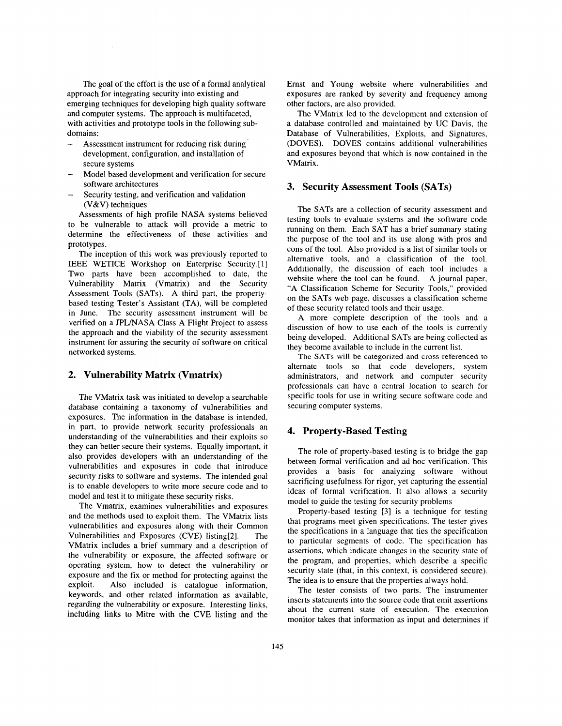approach for integrating security into existing and emerging techniques for developing high quality software and computer systems. The approach is multifaceted, with activities and prototype tools in the following subdomains:

- Assessment instrument for reducing risk during development, configuration, and installation of secure systems
- Model based development and verification for secure software architectures **3. Security Assessment Tools (SATs) Security testing, and verification and validation**
- (V&V) techniques

Assessments of high profile NASA systems believed be vulnerable to attack will provide a metric to determine the effectiveness of these activities and prototypes.

The inception of this work was previously reported to IEEE WETICE Workshop on Enterprise Security.[ 11 Two parts have been accomplished to date, the Vulnerability Matrix (Vmatrix) and the Security Assessment Tools (SATs). A third part, the propertybased testing Tester's Assistant (TA), will be completed in June. The security assessment instrument will be verified on a JPLNASA Class A Flight Project to assess the approach and the viability of the security assessment instrument for assuring the security of software on critical networked systems.

The VMatrix task was initiated to develop a searchable database containing a taxonomy of vulnerabilities and exposures. The information in the database is intended, in part, to provide network security professionals an in part, to provide network security professionals an **4. Property-Based Testing** understanding of the vulnerabilities and their exploits so they can better secure their systems. Equally important, it also provides developers with an understanding of the vulnerabilities and exposures in code that introduce security risks to software and systems. The intended goal is to enable developers to write more secure code and to model and test it to mitigate these security risks.

The Vmatrix, examines vulnerabilities and exposures and the methods used to exploit them. The VMatrix lists vulnerabilities and exposures along with their Common Vulnerabilities and Exposures (CVE) listing[2]. The VMatrix includes a brief summary and a description of the vulnerability or exposure, the affected software or operating system, how to detect the vulnerability or exposure and the fix or method for protecting against the exploit. Also included is catalogue information, keywords, and other related information as available, regarding the vulnerability or exposure. Interesting links, including links to Mitre with the CVE listing and the

The goal of the effort is the use of a formal analytical Ernst and Young website where vulnerabilities and exposures are ranked by severity and frequency among other factors, are also provided.

> The VMatrix led to the development and extension of a database controlled and maintained by UC Davis, the Database of Vulnerabilities, Exploits, and Signatures, (DOVES). DOVES contains additional vulnerabilities and exposures beyond that which is now contained in the

The SATs are a collection of security assessment and testing tools to evaluate systems and the software code running on them. Each SAT has a brief summary stating the purpose of the tool and its use along with pros and cons of the tool. Also provided is a list of similar tools or alternative tools, and a classification of the tool. Additionally, the discussion of each tool includes a website where the tool can be found. A journal paper, "A Classification Scheme for Security Tools," provided on the SATs web page, discusses a classification scheme of these security related tools and their usage.

A more complete description of the tools and a discussion of how to use each of the tools is currently being developed. Additional SATs are being collected as they become available to include in the current list.

The SATs **will** be categorized and cross-referenced to alternate tools so that code developers, system **2. Vulnerability Matrix (Vmatrix) administrators, and network and computer security** professionals can have a central location to search for specific tools for use in writing secure software code and securing computer systems.

The role of property-based testing is to bridge the gap between formal verification and ad hoc verification. This provides a basis for analyzing software without sacrificing usefulness for rigor, yet capturing the essential ideas of formal verification. It also allows a security model to guide the testing for security problems

Property-based testing [3] is a technique for testing that programs meet given specifications. The tester gives the specifications in a language that ties the specification to particular segments of code. The specification has assertions, which indicate changes in the security state of the program, and properties, which describe a specific security state (that, in this context, is considered secure). The idea is to ensure that the properties always hold.

The tester consists of two parts. The instrumenter inserts statements into the source code that emit assertions about the current state of execution. The execution monitor takes that information as input and determines if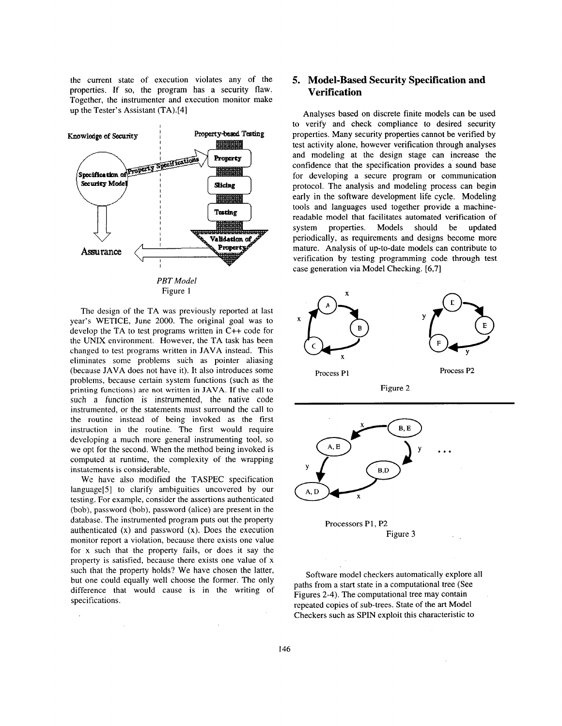the current state of execution violates any of the properties. If so, the program has a security flaw. Together, the instrumenter and execution monitor make up the Tester's Assistant  $(TA)$ .[4]



The design of the TA was previously reported at last year's WETICE, June 2000. The original goal was to develop the TA to test programs written in *C++* code for the UNIX environment. However, the TA task has been changed to test programs written in JAVA instead. This eliminates some problems such as pointer aliasing (because JAVA does not have it). It also introduces some problems, because certain system functions (such as the printing functions) **are** not written in **JAVA. If** the call to such a function is instrumented, the native code instrumented, or the statements must surround the call to the routine instead of being invoked as the first instruction in the routine. The first would require developing a much more general instrumenting tool, so we opt for the second. When the method being invoked is computed at runtime, the complexity of the wrapping instatements is considerable,

We have also modified the TASPEC specification language[5] to clarify ambiguities uncovered by our testing. For example, consider the assertions authenticated (bob), password (bob), password (alice) are present in the database. The instrumented program puts out the property authenticated  $(x)$  and password  $(x)$ . Does the execution monitor report a violation, because there exists one value for x such that the property fails, or does it say the property is satisfied, because there exists one value of x such that the property holds? We have chosen the latter, but one could equally well choose the former. The only difference that would cause is in the writing of specifications.

 $\bar{A}$ 

## *5.* **Model-Based Security Specification and Verification**

Analyses based on discrete finite models can be used to verify and check compliance to desired security properties. Many security properties cannot be verified by test activity alone, however verification through analyses and modeling at the design stage can increase the confidence that the specification provides a sound base for developing a secure program or communication protocol. The analysis and modeling process can begin early in the software development life cycle. Modeling tools and languages used together provide a machinereadable model that facilitates automated verification of system properties. Models should be updated periodically, as requirements and designs become more mature. Analysis of up-to-date models can contribute to verification by testing programming code through test case generation via Model Checking. **[6,7]** 





Processors P1, P2 Figure **3** 

Software model checkers automatically explore all paths from a start state in a computational tree (See Figures 2-4). The computational tree may contain repeated copies of sub-trees. State of the art Model Checkers such as SPIN exploit this characteristic to

 $\mathcal{L}_{\text{max}}$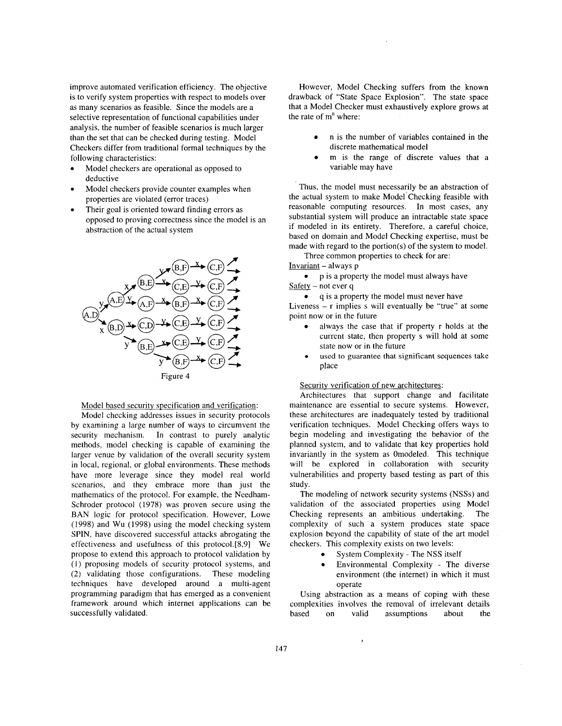improve automated verification efficiency. The objective is to verify system properties with respect to models over as many scenarios as feasible. Since the models are a selective representation of functional capabilities under analysis, the number of feasible scenarios is much larger than the set that can be checked during testing. Model Checkers differ from traditional formal techniques by the following characteristics:

- Model checkers are operational as opposed to deductive
- Model checkers provide counter examples when properties are violated (error traces)
- Their goal is oriented toward finding errors as opposed to proving correctness since the model is an abstraction of the actual system *0*



Model based securitv specification and verification:

Model checking addresses issues in security protocols by examining a large number of ways to circumvent the security mechanism. In contrast to purely analytic methods, model checking is capable of examining the larger venue by validation of the overall security system in local, regional, or global environments. These methods have more leverage since they model real world scenarios, and they embrace more than just the mathematics of the protocol. For example, the Needham-Schroder protocol (1978) was proven secure using the BAN logic for protocol specification. However, Lowe (1998) and Wu (1998) using the model checking system SPIN, have discovered successful attacks abrogating the effectiveness and usefulness of this protocol.[8,9] We propose to extend this approach to protocol validation by (I) proposing models of security protocol systems, and *(2)* validating those configurations. These modeling techniques have developed around a multi-agent programming paradigm that has emerged as a convenient framework around which internet applications can be successfully validated.

However, Model Checking suffers from the known drawback of "State Space Explosion". The state space that a Model Checker must exhaustively explore grows at the rate of  $m<sup>n</sup>$  where:

- n is the number of variables contained in the discrete mathematical model
- m is the range of discrete values that a variable may have

Thus, the model must necessarily be an abstraction of the actual system to make Model'Checking feasible with reasonable computing resources. In most cases, any substantial system will produce an intractable state space if modeled in its entirety. Therefore, a careful choice, based on domain and Model Checking expertise, must be made with regard to the portion(s) of the system to model.

Three common properties to check for are:

Invariant - always p

p is a property the model must always have • p is a prop<br> $\frac{\text{Safety}}{ }$  - not ever q

**q** is a property the model must never have

Liveness  $-$  r implies s will eventually be "true" at some point now or in the future

- always the case that if property r holds at the current state, then property s will hold at some state now or in the future
- used to guarantee that significant sequences take place *0*

Security verification of new architectures:

Architectures that support change and facilitate maintenance are essential to secure systems. However, these architectures are inadequately tested by traditional verification techniques. Model Checking offers ways to begin modeling and investigating the behavior of the planned system, and to validate that key properties hold invariantly in the system as Omodeled. This technique will be explored in collaboration with security vulnerabilities and property based testing as part of this study.

The modeling of network security systems (NSSs) and validation of the associated properties using Model Checking represents an ambitious undertaking. The complexity of such a system produces state space explosion beyond the capability of state of the art model checkers. This complexity exists on two levels:

- System Complexity The NSS itself
- Environmental Complexity The diverse environment (the internet) in which it must operate

Using abstraction as a means of coping with these complexities involves the removal of irrelevant details based on valid assumptions about the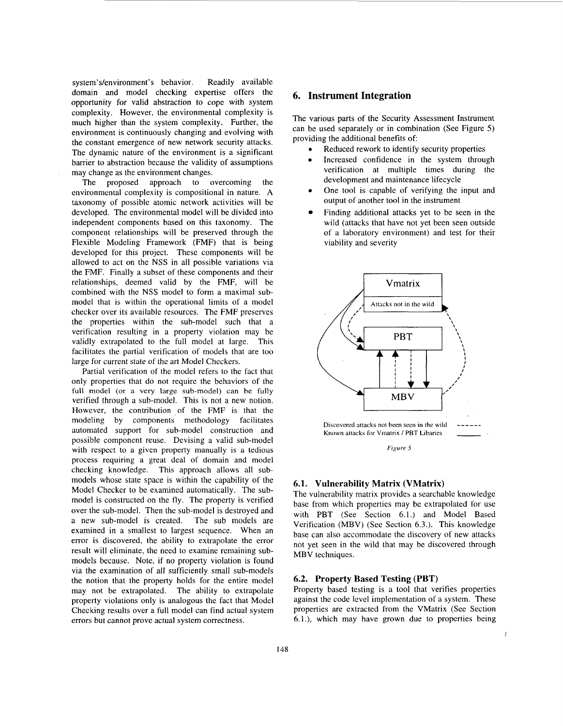system's/environment's behavior. Readily available domain and model checking expertise offers the opportunity for valid abstraction to cope with system complexity. However, the environmental complexity is much higher than the system complexity. Further, the environment is continuously changing and evolving with the constant emergence of new network security attacks. The dynamic nature of the environment is a significant barrier to abstraction because the validity of assumptions may change as the environment changes.<br>The proposed approach to o

approach to overcoming the environmental complexity is compositional in nature. A taxonomy of possible atomic network activities will be developed. The environmental model will be divided into independent components based on this taxonomy. The component relationships will be preserved through the Flexible Modeling Framework (FMF) that is being developed for this project. These components will be allowed to act on the NSS in all possible variations via the FMF. Finally a subset of these components and their relationships, deemed valid by the FMF, will be combined with the NSS model to form a maximal submodel that is within the operational limits of a model checker over its available resources. The FMF preserves the properties within the sub-model such that a verification resulting in a property violation may be validly extrapolated to the full model at large. This facilitates the partial verification of models that are too large for current state of the art Model Checkers.

Partial verification of the model refers to the fact that only properties that do not require the behaviors of the full model (or a very large sub-model) can be fully verified through a sub-model. This is not a new notion. However, the contribution of the FMF is that the modeling by components methodology facilitates automated support for sub-model construction and possible component reuse. Devising a valid sub-model with respect to a given property manually is a tedious process requiring a great deal of domain and model checking knowledge. This approach allows all submodels whose state space is within the capability of the Model Checker to be examined automatically. The submodel is constructed on the tly. The property is verified over the sub-model. Then the sub-model is destroyed and a new sub-model is created. The sub models are examined in a smallest to largest sequence. When an error is discovered, the ability to extrapolate the error result will eliminate, the need to examine remaining submodels because. Note, if no property violation is found via the examination of all sufficiently small sub-models the notion that the property holds for the entire model may not be extrapolated. The ability to extrapolate property violations only is analogous the fact that Model Checking results over a full model can find actual system errors but cannot prove actual system correctness.

## **6. Instrument Integration**

The various parts of the Security Assessment Instrument can be used separately or in combination (See Figure 5) providing the additional benefits of

- Reduced rework to identify security properties
- Increased confidence in the system through verification at multiple times during the development and maintenance lifecycle
- One tool is capable of verifying the input and output of another tool in the instrument
- Finding additional attacks yet to be seen in the wild (attacks that have not yet been seen outside of a laboratory environment) and test for their viability and severity





### **6.1. Vulnerability Matrix (VMatrix)**

The vulnerability matrix provides a searchable knowledge base from which properties may be extrapolated for use with PBT (See Section 6.1.) and Model Based Verification (MBV) (See Section **6.3.).** This knowledge base can also accommodate the discovery of new attacks not yet seen in the wild that may be discovered through MBV techniques.

## **6.2. Property Based Testing (PBT)**

Property based testing is a tool that verifies properties against the code level implementation of a system. These properties are extracted from the VMatrix (See Section 6.l.), which may have grown due to properties being

 $\overline{t}$